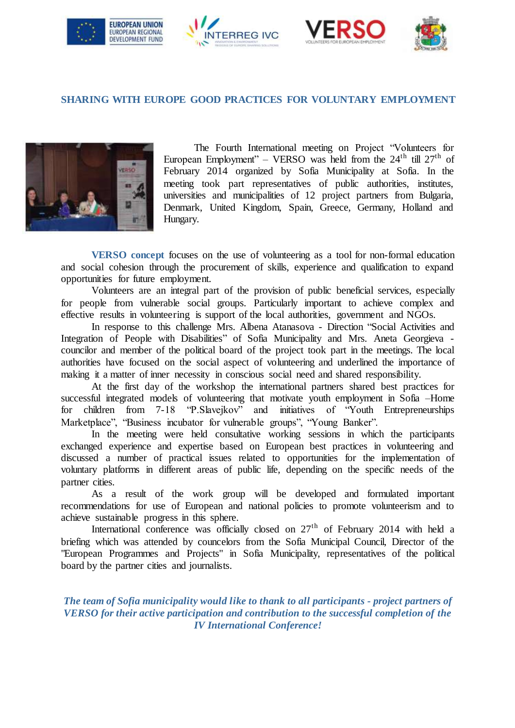







## **SHARING WITH EUROPE GOOD PRACTICES FOR VOLUNTARY EMPLOYMENT**



The Fourth International meeting on Project "Volunteers for European Employment" – VERSO was held from the  $24<sup>th</sup>$  till  $27<sup>th</sup>$  of February 2014 organized by Sofia Municipality at Sofia. In the meeting took part representatives of public authorities, institutes, universities and municipalities of 12 project partners from Bulgaria, Denmark, United Kingdom, Spain, Greece, Germany, Holland and Hungary.

**VERSO concept** focuses on the use of volunteering as a tool for non-formal education and social cohesion through the procurement of skills, experience and qualification to expand opportunities for future employment.

Volunteers are an integral part of the provision of public beneficial services, especially for people from vulnerable social groups. Particularly important to achieve complex and effective results in volunteering is support of the local authorities, government and NGOs.

In response to this challenge Mrs. Albena Atanasova - Direction "Social Activities and Integration of People with Disabilities" of Sofia Municipality and Mrs. Aneta Georgieva councilor and member of the political board of the project took part in the meetings. The local authorities have focused on the social aspect of volunteering and underlined the importance of making it a matter of inner necessity in conscious social need and shared responsibility.

At the first day of the workshop the international partners shared best practices for successful integrated models of volunteering that motivate youth employment in Sofia –Home for children from 7-18 "P.Slavejkov" and initiatives of "Youth Entrepreneurships Marketplace", "Business incubator for vulnerable groups", "Young Banker".

In the meeting were held consultative working sessions in which the participants exchanged experience and expertise based on European best practices in volunteering and discussed a number of practical issues related to opportunities for the implementation of voluntary platforms in different areas of public life, depending on the specific needs of the partner cities.

As a result of the work group will be developed and formulated important recommendations for use of European and national policies to promote volunteerism and to achieve sustainable progress in this sphere.

International conference was officially closed on  $27<sup>th</sup>$  of February 2014 with held a briefing which was attended by councelors from the Sofia Municipal Council, Director of the "European Programmes and Projects" in Sofia Municipality, representatives of the political board by the partner cities and journalists.

*The team of Sofia municipality would like to thank to all participants - project partners of VERSO for their active participation and contribution to the successful completion of the IV International Conference!*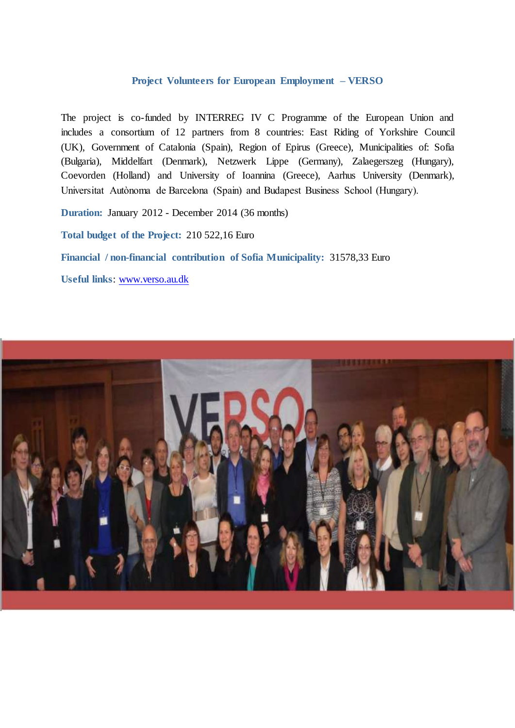## **Project Volunteers for European Employment – VERSO**

The project is co-funded by INTERREG IV C Programme of the European Union and includes a consortium of 12 partners from 8 countries: East Riding of Yorkshire Council (UK), Government of Catalonia (Spain), Region of Epirus (Greece), Municipalities of: Sofia (Bulgaria), Middelfart (Denmark), Netzwerk Lippe (Germany), Zalaegerszeg (Hungary), Coevorden (Holland) and University of Ioannina (Greece), Aarhus University (Denmark), Universitat Autònoma de Barcelona (Spain) and Budapest Business School (Hungary).

**Duration:** January 2012 - December 2014 (36 months)

**Total budget of the Project:** 210 522,16 Euro

**Financial / non-financial contribution of Sofia Municipality:** 31578,33 Euro

**Useful links**: [www.verso.au.dk](http://www.verso.au.dk/)